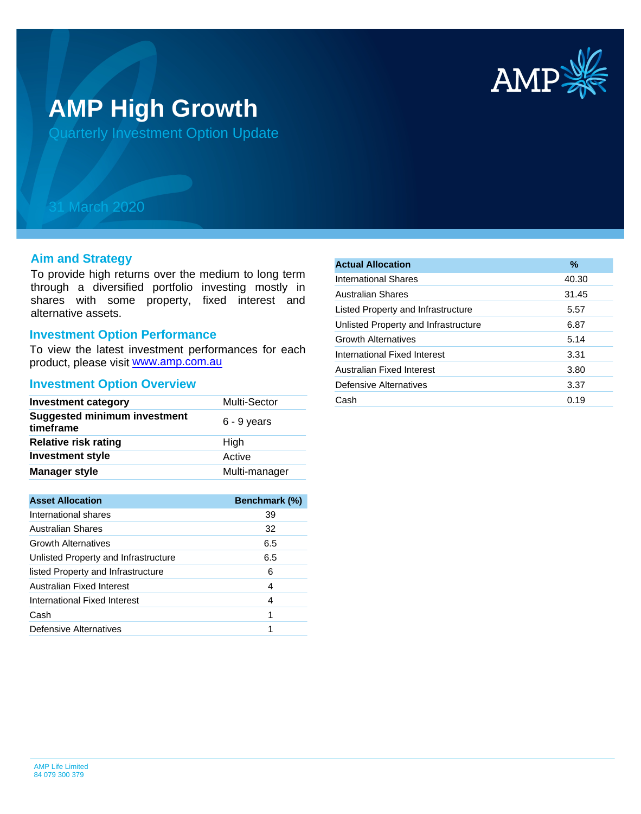

# **AMP High Growth**

Quarterly Investment Option Update

# 31 March 2020

#### **Aim and Strategy**

To provide high returns over the medium to long term through a diversified portfolio investing mostly in shares with some property, fixed interest and alternative assets.

# **Investment Option Performance**

product, please visit **[www.amp.com.au](https://www.amp.com.au)** To view the latest investment performances for each

#### **Investment Option Overview**

| <b>Investment category</b>                       | Multi-Sector  |
|--------------------------------------------------|---------------|
| <b>Suggested minimum investment</b><br>timeframe | $6 - 9$ years |
| <b>Relative risk rating</b>                      | High          |
| <b>Investment style</b>                          | Active        |
| <b>Manager style</b>                             | Multi-manager |
|                                                  |               |

| <b>Asset Allocation</b>              | <b>Benchmark (%)</b> |
|--------------------------------------|----------------------|
| International shares                 | 39                   |
| <b>Australian Shares</b>             | 32                   |
| <b>Growth Alternatives</b>           | 6.5                  |
| Unlisted Property and Infrastructure | 6.5                  |
| listed Property and Infrastructure   | 6                    |
| Australian Fixed Interest            | 4                    |
| International Fixed Interest         | 4                    |
| Cash                                 | 1                    |
| Defensive Alternatives               |                      |

| <b>Actual Allocation</b>             | $\%$  |
|--------------------------------------|-------|
| International Shares                 | 40.30 |
| <b>Australian Shares</b>             | 31.45 |
| Listed Property and Infrastructure   | 5.57  |
| Unlisted Property and Infrastructure | 6.87  |
| <b>Growth Alternatives</b>           | 5.14  |
| International Fixed Interest         | 3.31  |
| Australian Fixed Interest            | 3.80  |
| Defensive Alternatives               | 3.37  |
| Cash                                 | 0.19  |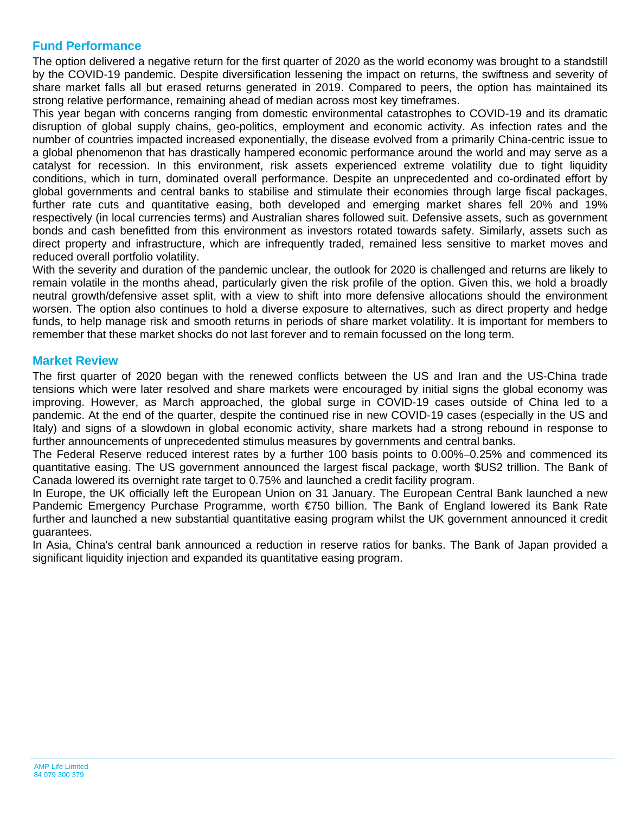## **Fund Performance**

The option delivered a negative return for the first quarter of 2020 as the world economy was brought to a standstill by the COVID-19 pandemic. Despite diversification lessening the impact on returns, the swiftness and severity of share market falls all but erased returns generated in 2019. Compared to peers, the option has maintained its strong relative performance, remaining ahead of median across most key timeframes.

This year began with concerns ranging from domestic environmental catastrophes to COVID-19 and its dramatic disruption of global supply chains, geo-politics, employment and economic activity. As infection rates and the number of countries impacted increased exponentially, the disease evolved from a primarily China-centric issue to a global phenomenon that has drastically hampered economic performance around the world and may serve as a catalyst for recession. In this environment, risk assets experienced extreme volatility due to tight liquidity conditions, which in turn, dominated overall performance. Despite an unprecedented and co-ordinated effort by global governments and central banks to stabilise and stimulate their economies through large fiscal packages, further rate cuts and quantitative easing, both developed and emerging market shares fell 20% and 19% respectively (in local currencies terms) and Australian shares followed suit. Defensive assets, such as government bonds and cash benefitted from this environment as investors rotated towards safety. Similarly, assets such as direct property and infrastructure, which are infrequently traded, remained less sensitive to market moves and reduced overall portfolio volatility.

With the severity and duration of the pandemic unclear, the outlook for 2020 is challenged and returns are likely to remain volatile in the months ahead, particularly given the risk profile of the option. Given this, we hold a broadly neutral growth/defensive asset split, with a view to shift into more defensive allocations should the environment worsen. The option also continues to hold a diverse exposure to alternatives, such as direct property and hedge funds, to help manage risk and smooth returns in periods of share market volatility. It is important for members to remember that these market shocks do not last forever and to remain focussed on the long term.

### **Market Review**

The first quarter of 2020 began with the renewed conflicts between the US and Iran and the US-China trade tensions which were later resolved and share markets were encouraged by initial signs the global economy was improving. However, as March approached, the global surge in COVID-19 cases outside of China led to a pandemic. At the end of the quarter, despite the continued rise in new COVID-19 cases (especially in the US and Italy) and signs of a slowdown in global economic activity, share markets had a strong rebound in response to further announcements of unprecedented stimulus measures by governments and central banks.

The Federal Reserve reduced interest rates by a further 100 basis points to 0.00%–0.25% and commenced its quantitative easing. The US government announced the largest fiscal package, worth \$US2 trillion. The Bank of Canada lowered its overnight rate target to 0.75% and launched a credit facility program.

In Europe, the UK officially left the European Union on 31 January. The European Central Bank launched a new Pandemic Emergency Purchase Programme, worth €750 billion. The Bank of England lowered its Bank Rate further and launched a new substantial quantitative easing program whilst the UK government announced it credit guarantees.

In Asia. China's central bank announced a reduction in reserve ratios for banks. The Bank of Japan provided a significant liquidity injection and expanded its quantitative easing program.